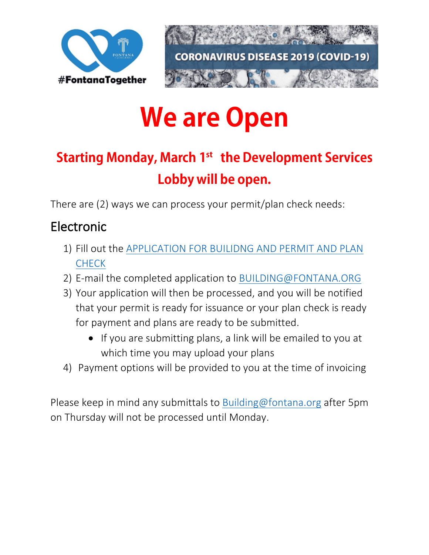



# **We are Open**

# **Starting Monday, March 1st the Development Services** Lobby will be open.

There are (2) ways we can process your permit/plan check needs:

## Electronic

- 1) Fill out the [APPLICATION FOR BUILIDNG AND PERMIT AND PLAN](https://www.fontana.org/DocumentCenter/View/314/Application-for-Building-Permit-and-Plan-Check)  **[CHECK](https://www.fontana.org/DocumentCenter/View/314/Application-for-Building-Permit-and-Plan-Check)**
- 2) E-mail the completed application to **BUILDING@FONTANA.ORG**
- 3) Your application will then be processed, and you will be notified that your permit is ready for issuance or your plan check is ready for payment and plans are ready to be submitted.
	- If you are submitting plans, a link will be emailed to you at which time you may upload your plans
- 4) Payment options will be provided to you at the time of invoicing

Please keep in mind any submittals to [Building@fontana.org](mailto:Building@fontana.org) after 5pm on Thursday will not be processed until Monday.